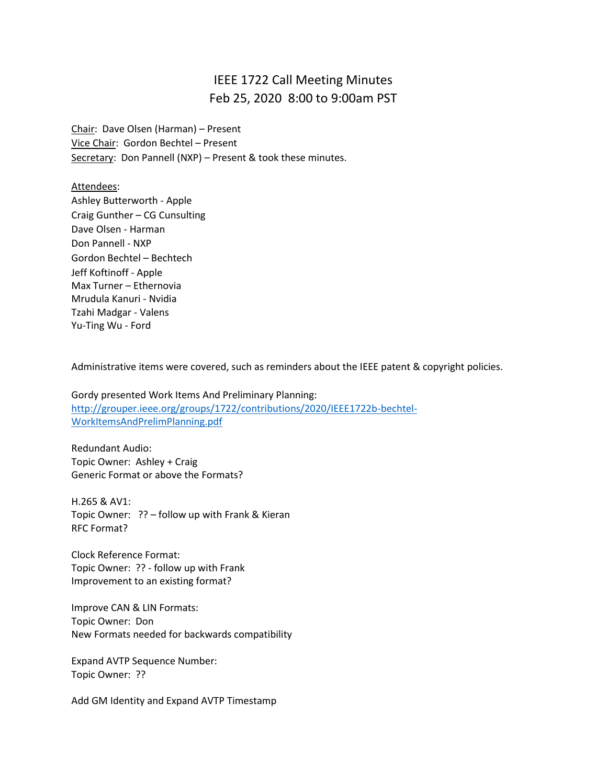## IEEE 1722 Call Meeting Minutes Feb 25, 2020 8:00 to 9:00am PST

Chair: Dave Olsen (Harman) – Present Vice Chair: Gordon Bechtel – Present Secretary: Don Pannell (NXP) - Present & took these minutes.

Attendees:

Ashley Butterworth - Apple Craig Gunther – CG Cunsulting Dave Olsen - Harman Don Pannell - NXP Gordon Bechtel – Bechtech Jeff Koftinoff - Apple Max Turner – Ethernovia Mrudula Kanuri - Nvidia Tzahi Madgar - Valens Yu-Ting Wu - Ford

Administrative items were covered, such as reminders about the IEEE patent & copyright policies.

Gordy presented Work Items And Preliminary Planning: [http://grouper.ieee.org/groups/1722/contributions/2020/IEEE1722b-bechtel-](http://grouper.ieee.org/groups/1722/contributions/2020/IEEE1722b-bechtel-WorkItemsAndPrelimPlanning.pdf)[WorkItemsAndPrelimPlanning.pdf](http://grouper.ieee.org/groups/1722/contributions/2020/IEEE1722b-bechtel-WorkItemsAndPrelimPlanning.pdf)

Redundant Audio: Topic Owner: Ashley + Craig Generic Format or above the Formats?

H.265 & AV1: Topic Owner: ?? – follow up with Frank & Kieran RFC Format?

Clock Reference Format: Topic Owner: ?? - follow up with Frank Improvement to an existing format?

Improve CAN & LIN Formats: Topic Owner: Don New Formats needed for backwards compatibility

Expand AVTP Sequence Number: Topic Owner: ??

Add GM Identity and Expand AVTP Timestamp